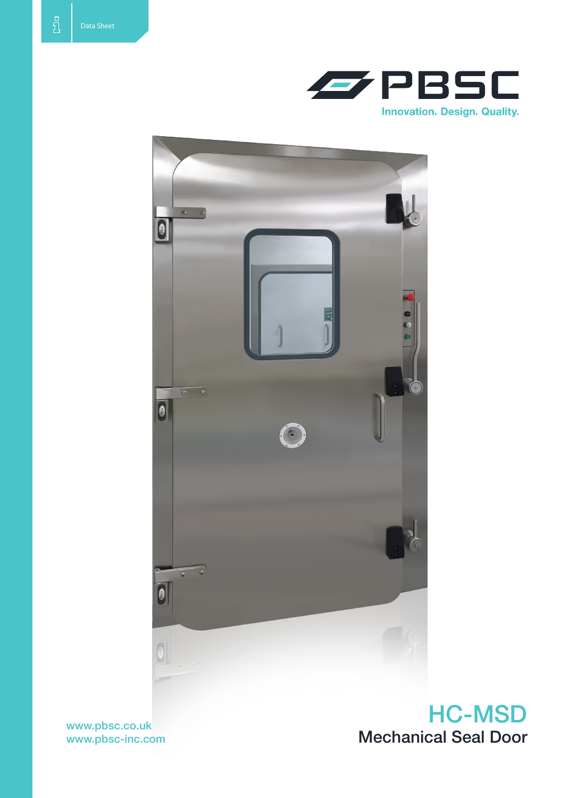



www.pbsc-inc.com

HC-MSD www.pbsc.co.uk<br>www.pbsc-inc.com Mechanical Seal Door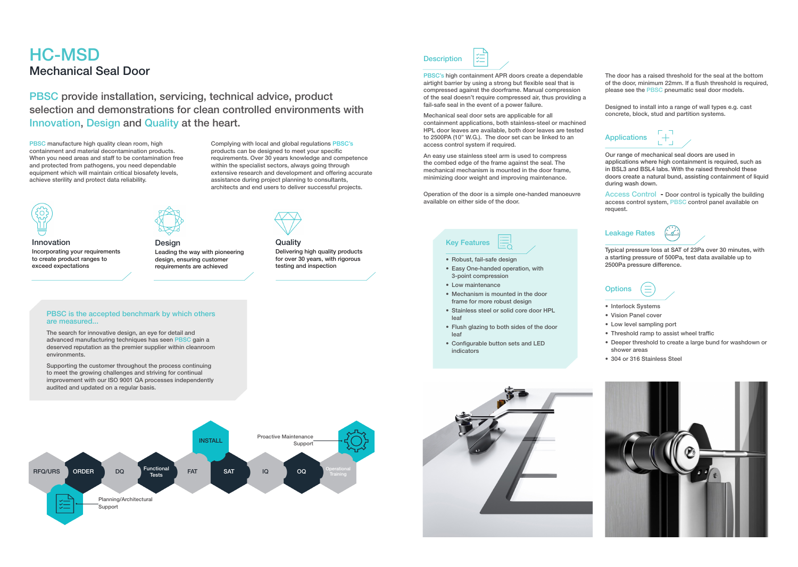# HC-MSD Mechanical Seal Door

PBSC's high containment APR doors create a dependable airtight barrier by using a strong but flexible seal that is compressed against the doorframe. Manual compression of the seal doesn't require compressed air, thus providing a fail-safe seal in the event of a power failure.

Mechanical seal door sets are applicable for all containment applications, both stainless-steel or machined HPL door leaves are available, both door leaves are tested to 2500PA (10" W.G.). The door set can be linked to an access control system if required.

An easy use stainless steel arm is used to compress the combed edge of the frame against the seal. The mechanical mechanism is mounted in the door frame, minimizing door weight and improving maintenance.

- Robust, fail-safe design
- • Easy One-handed operation, with 3-point compression
- Low maintenance
- Mechanism is mounted in the door frame for more robust design
- Stainless steel or solid core door HPL leaf
- Flush glazing to both sides of the door leaf
- Configurable button sets and LED indicators



Operation of the door is a simple one-handed manoeuvre available on either side of the door.

The door has a raised threshold for the seal at the bottom of the door, minimum 22mm. If a flush threshold is required, please see the PBSC pneumatic seal door models.

Designed to install into a range of wall types e.g. cast concrete, block, stud and partition systems.

#### **Applications**



## Key Features

**Quality** Delivering high quality products for over 30 years, with rigorous testing and inspection

Our range of mechanical seal doors are used in applications where high containment is required, such as in BSL3 and BSL4 labs. With the raised threshold these doors create a natural bund, assisting containment of liquid during wash down.

Access Control - Door control is typically the building access control system, PBSC control panel available on request.

#### Leakage Rates



Typical pressure loss at SAT of 23Pa over 30 minutes, with a starting pressure of 500Pa, test data available up to 2500Pa pressure difference.

### **Options**



- Interlock Systems
- • Vision Panel cover
- Low level sampling port
- Threshold ramp to assist wheel traffic
- • Deeper threshold to create a large bund for washdown or shower areas
- 304 or 316 Stainless Steel



PBSC provide installation, servicing, technical advice, product selection and demonstrations for clean controlled environments with Innovation, Design and Quality at the heart.

PBSC manufacture high quality clean room, high containment and material decontamination products. When you need areas and staff to be contamination free and protected from pathogens, you need dependable equipment which will maintain critical biosafety levels, achieve sterility and protect data reliability.

Complying with local and global regulations PBSC's products can be designed to meet your specific requirements. Over 30 years knowledge and competence within the specialist sectors, always going through extensive research and development and offering accurate assistance during project planning to consultants, architects and end users to deliver successful projects.



Innovation Incorporating your requirements to create product ranges to exceed expectations



Design Leading the way with pioneering design, ensuring customer requirements are achieved



#### PBSC is the accepted benchmark by which others are measured...

The search for innovative design, an eye for detail and advanced manufacturing techniques has seen PBSC gain a deserved reputation as the premier supplier within cleanroom environments.

Supporting the customer throughout the process continuing to meet the growing challenges and striving for continual improvement with our ISO 9001 QA processes independently audited and updated on a regular basis.



**Description**